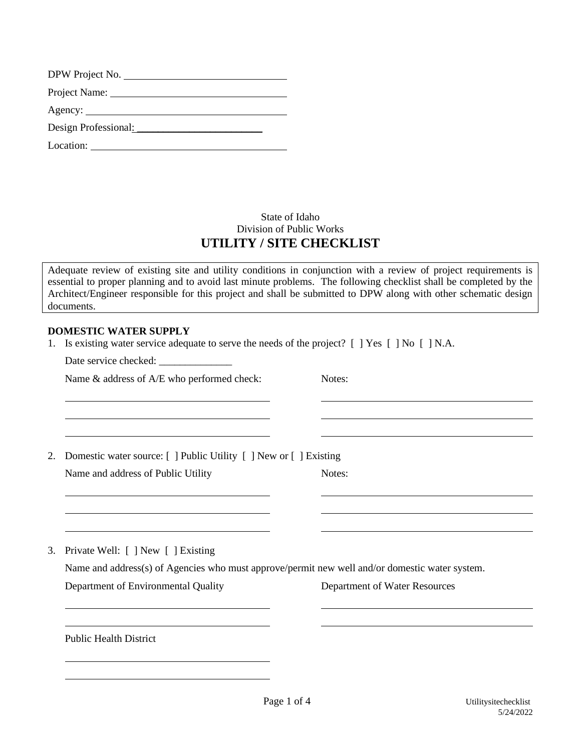| DPW Project No.      |  |
|----------------------|--|
| Project Name:        |  |
|                      |  |
| Design Professional: |  |
| Location:            |  |

# State of Idaho Division of Public Works **UTILITY / SITE CHECKLIST**

Adequate review of existing site and utility conditions in conjunction with a review of project requirements is essential to proper planning and to avoid last minute problems. The following checklist shall be completed by the Architect/Engineer responsible for this project and shall be submitted to DPW along with other schematic design documents.

# **DOMESTIC WATER SUPPLY**

|  |  |  | 1. Is existing water service adequate to serve the needs of the project? [ ] Yes [ ] No [ ] N.A. |  |  |  |  |
|--|--|--|--------------------------------------------------------------------------------------------------|--|--|--|--|
|--|--|--|--------------------------------------------------------------------------------------------------|--|--|--|--|

Date service checked:

Name & address of A/E who performed check: Notes:

2. Domestic water source: [ ] Public Utility [ ] New or [ ] Existing Name and address of Public Utility Notes:

3. Private Well: [ ] New [ ] Existing

Name and address(s) of Agencies who must approve/permit new well and/or domestic water system.

Department of Environmental Quality Department of Water Resources

Public Health District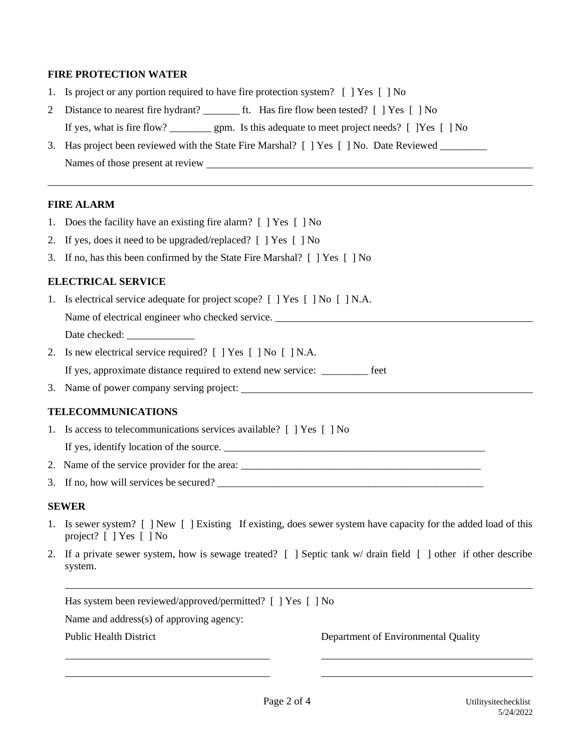# **FIRE PROTECTION WATER**

- 1. Is project or any portion required to have fire protection system? [ ] Yes [ ] No
- 2 Distance to nearest fire hydrant? \_\_\_\_\_\_\_ ft. Has fire flow been tested? [ ] Yes [ ] No If yes, what is fire flow? \_\_\_\_\_\_\_\_ gpm. Is this adequate to meet project needs? [ ]Yes [ ] No
- 3. Has project been reviewed with the State Fire Marshal? [ ] Yes [ ] No. Date Reviewed \_\_\_\_\_\_\_\_\_ Names of those present at review

### **FIRE ALARM**

- 1. Does the facility have an existing fire alarm? [ ] Yes [ ] No
- 2. If yes, does it need to be upgraded/replaced? [ ] Yes [ ] No
- 3. If no, has this been confirmed by the State Fire Marshal? [ ] Yes [ ] No

# **ELECTRICAL SERVICE**

- 1. Is electrical service adequate for project scope? [ ] Yes [ ] No [ ] N.A. Name of electrical engineer who checked service. Date checked:
- 2. Is new electrical service required? [ ] Yes [ ] No [ ] N.A.

If yes, approximate distance required to extend new service: \_\_\_\_\_\_\_\_\_ feet

3. Name of power company serving project:

# **TELECOMMUNICATIONS**

1. Is access to telecommunications services available? [ ] Yes [ ] No

If yes, identify location of the source. \_\_\_\_\_\_\_\_\_\_\_\_\_\_\_\_\_\_\_\_\_\_\_\_\_\_\_\_\_\_\_\_\_\_\_\_\_\_\_\_\_\_\_\_\_\_\_\_\_\_

- 2. Name of the service provider for the area: \_\_\_\_\_\_\_\_\_\_\_\_\_\_\_\_\_\_\_\_\_\_\_\_\_\_\_\_\_\_\_\_\_\_\_\_\_\_\_\_\_\_\_\_\_\_
- 3. If no, how will services be secured? \_\_\_\_\_\_\_\_\_\_\_\_\_\_\_\_\_\_\_\_\_\_\_\_\_\_\_\_\_\_\_\_\_\_\_\_\_\_\_\_\_\_\_\_\_\_\_\_\_\_\_

#### **SEWER**

- 1. Is sewer system? [ ] New [ ] Existing If existing, does sewer system have capacity for the added load of this project? [ ] Yes [ ] No
- 2. If a private sewer system, how is sewage treated? [ ] Septic tank w/ drain field [ ] other if other describe system.

Has system been reviewed/approved/permitted? [ ] Yes [ ] No

Name and address(s) of approving agency:

Public Health District Department of Environmental Quality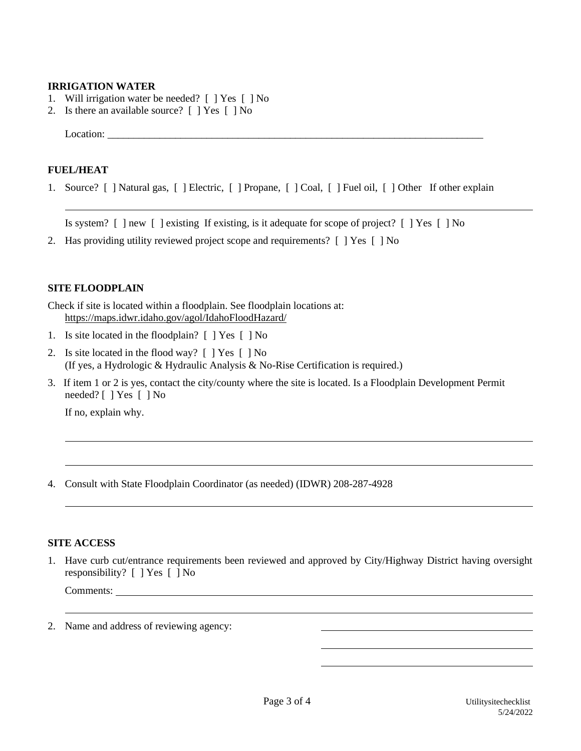### **IRRIGATION WATER**

- 1. Will irrigation water be needed? [ ] Yes [ ] No
- 2. Is there an available source? [ ] Yes [ ] No

Location: \_\_\_\_\_\_\_\_\_\_\_\_\_\_\_\_\_\_\_\_\_\_\_\_\_\_\_\_\_\_\_\_\_\_\_\_\_\_\_\_\_\_\_\_\_\_\_\_\_\_\_\_\_\_\_\_\_\_\_\_\_\_\_\_\_\_\_\_\_\_\_\_

### **FUEL/HEAT**

1. Source? [ ] Natural gas, [ ] Electric, [ ] Propane, [ ] Coal, [ ] Fuel oil, [ ] Other If other explain

Is system?  $\lceil \cdot \rceil$  hew  $\lceil \cdot \rceil$  existing If existing, is it adequate for scope of project?  $\lceil \cdot \rceil$  Yes  $\lceil \cdot \rceil$  No

2. Has providing utility reviewed project scope and requirements? [ ] Yes [ ] No

### **SITE FLOODPLAIN**

Check if site is located within a floodplain. See floodplain locations at: <https://maps.idwr.idaho.gov/agol/IdahoFloodHazard/>

- 1. Is site located in the floodplain? [ ] Yes [ ] No
- 2. Is site located in the flood way? [ ] Yes [ ] No (If yes, a Hydrologic & Hydraulic Analysis & No-Rise Certification is required.)
- 3. If item 1 or 2 is yes, contact the city/county where the site is located. Is a Floodplain Development Permit needed? [ ] Yes [ ] No

If no, explain why.

4. Consult with State Floodplain Coordinator (as needed) (IDWR) 208-287-4928

### **SITE ACCESS**

1. Have curb cut/entrance requirements been reviewed and approved by City/Highway District having oversight responsibility? [ ] Yes [ ] No

Comments:

2. Name and address of reviewing agency: